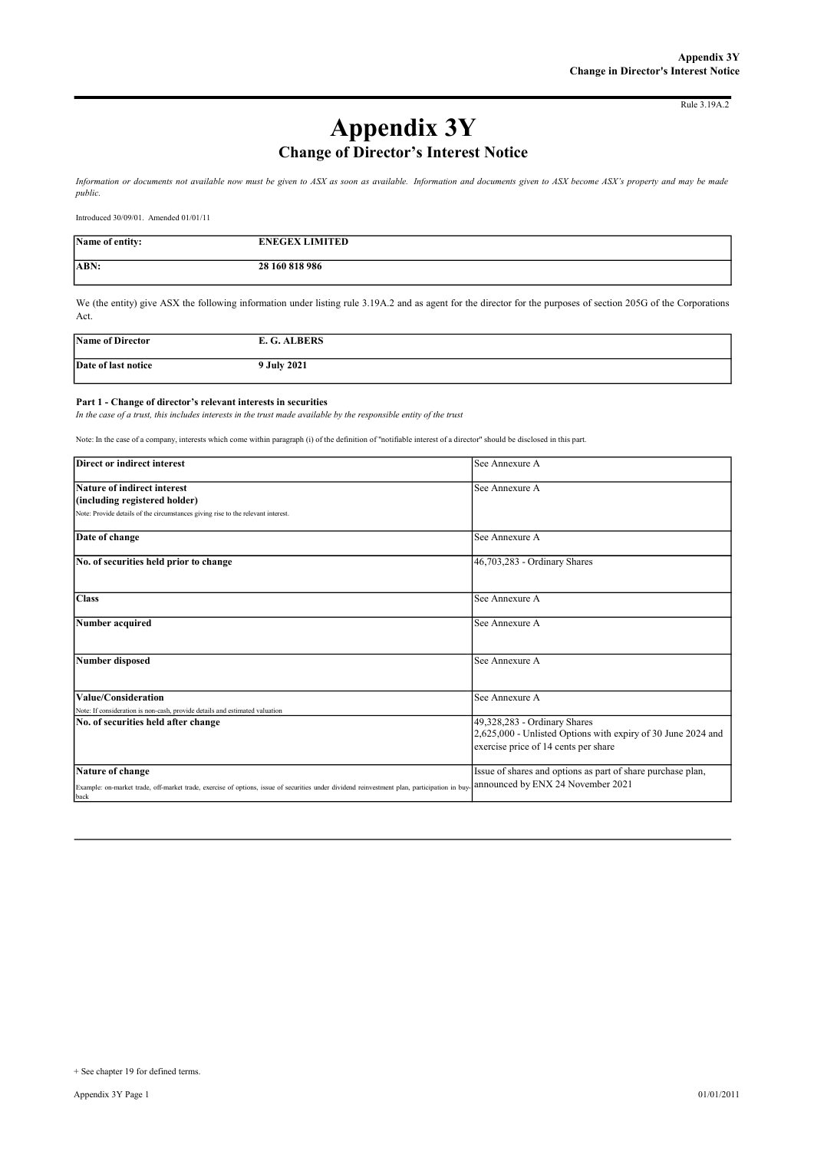Rule 3.19A.2

# Appendix 3Y Change of Director's Interest Notice

Information or documents not available now must be given to ASX as soon as available. Information and documents given to ASX become ASX's property and may be made public.

Introduced 30/09/01. Amended 01/01/11

| Name of entity: | <b>ENEGEX LIMITED</b> |
|-----------------|-----------------------|
| <b>ABN:</b>     | 28 160 818 986        |

We (the entity) give ASX the following information under listing rule 3.19A.2 and as agent for the director for the purposes of section 205G of the Corporations Act.

| Name of Director    | <b>ALBERS</b> |
|---------------------|---------------|
| Date of last notice | 9 July 2021   |
|                     |               |

#### Part 1 - Change of director's relevant interests in securities

In the case of a trust, this includes interests in the trust made available by the responsible entity of the trust

Note: In the case of a company, interests which come within paragraph (i) of the definition of "notifiable interest of a director" should be disclosed in this part.

| Direct or indirect interest                                                                                                                                              | See Annexure A                                                                                                                       |
|--------------------------------------------------------------------------------------------------------------------------------------------------------------------------|--------------------------------------------------------------------------------------------------------------------------------------|
| Nature of indirect interest                                                                                                                                              | See Annexure A                                                                                                                       |
| (including registered holder)                                                                                                                                            |                                                                                                                                      |
| Note: Provide details of the circumstances giving rise to the relevant interest.                                                                                         |                                                                                                                                      |
| Date of change                                                                                                                                                           | See Annexure A                                                                                                                       |
| No. of securities held prior to change                                                                                                                                   | 46,703,283 - Ordinary Shares                                                                                                         |
| <b>Class</b>                                                                                                                                                             | See Annexure A                                                                                                                       |
| Number acquired                                                                                                                                                          | See Annexure A                                                                                                                       |
| <b>Number disposed</b>                                                                                                                                                   | See Annexure A                                                                                                                       |
| Value/Consideration                                                                                                                                                      | See Annexure A                                                                                                                       |
| Note: If consideration is non-cash, provide details and estimated valuation<br>No. of securities held after change                                                       | 49,328,283 - Ordinary Shares<br>2,625,000 - Unlisted Options with expiry of 30 June 2024 and<br>exercise price of 14 cents per share |
| Nature of change<br>Example: on-market trade, off-market trade, exercise of options, issue of securities under dividend reinvestment plan, participation in buy-<br>back | Issue of shares and options as part of share purchase plan,<br>announced by ENX 24 November 2021                                     |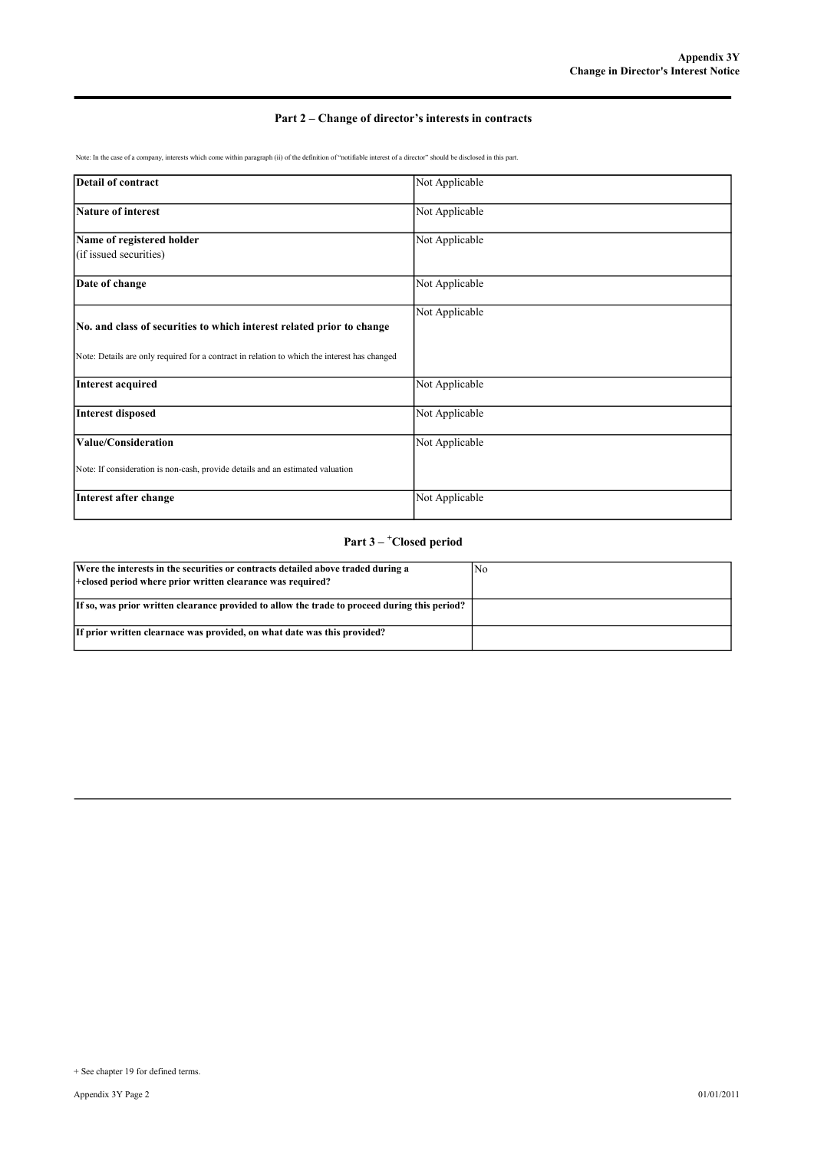# Part 2 – Change of director's interests in contracts

Note: In the case of a company, interests which come within paragraph (ii) of the definition of "notifiable interest of a director" should be disclosed in this part.

| <b>Detail of contract</b>                                                                                                                                             | Not Applicable |
|-----------------------------------------------------------------------------------------------------------------------------------------------------------------------|----------------|
| Nature of interest                                                                                                                                                    | Not Applicable |
| Name of registered holder<br>(if issued securities)                                                                                                                   | Not Applicable |
| Date of change                                                                                                                                                        | Not Applicable |
| No. and class of securities to which interest related prior to change<br>Note: Details are only required for a contract in relation to which the interest has changed | Not Applicable |
| Interest acquired                                                                                                                                                     | Not Applicable |
| Interest disposed                                                                                                                                                     | Not Applicable |
| Value/Consideration                                                                                                                                                   | Not Applicable |
| Note: If consideration is non-cash, provide details and an estimated valuation                                                                                        |                |
| Interest after change                                                                                                                                                 | Not Applicable |

# Part 3 – <sup>+</sup>Closed period

| Were the interests in the securities or contracts detailed above traded during a<br> +closed period where prior written clearance was required? | No |
|-------------------------------------------------------------------------------------------------------------------------------------------------|----|
| If so, was prior written clearance provided to allow the trade to proceed during this period?                                                   |    |
| If prior written clearnace was provided, on what date was this provided?                                                                        |    |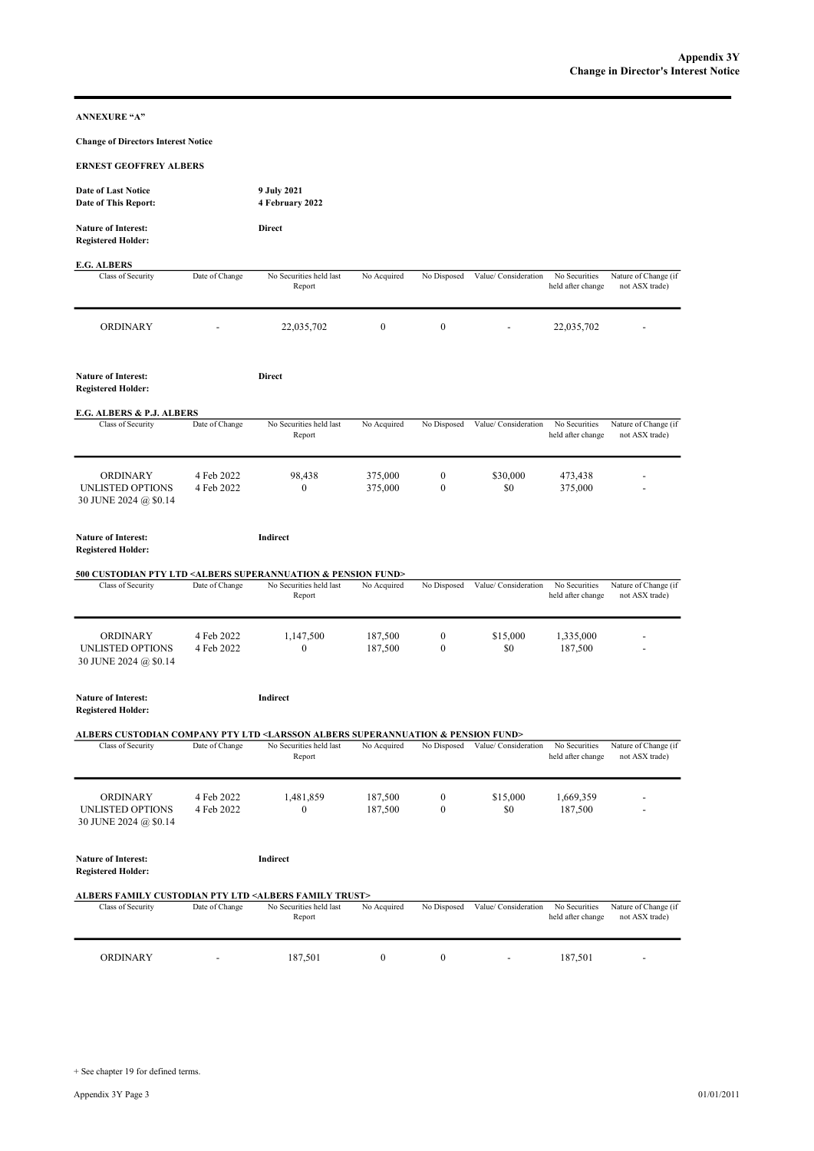ANNEXURE "A"

Change of Directors Interest Notice

| <b>ERNEST GEOFFREY ALBERS</b> |  |
|-------------------------------|--|
|                               |  |

| <b>ERNEST GEOFFREY ALBERS</b>                                                                            |                          |                                   |                    |                                  |                      |                                    |                                        |
|----------------------------------------------------------------------------------------------------------|--------------------------|-----------------------------------|--------------------|----------------------------------|----------------------|------------------------------------|----------------------------------------|
| <b>Date of Last Notice</b><br>Date of This Report:                                                       |                          | 9 July 2021<br>4 February 2022    |                    |                                  |                      |                                    |                                        |
| <b>Nature of Interest:</b><br><b>Registered Holder:</b>                                                  |                          | Direct                            |                    |                                  |                      |                                    |                                        |
| <b>E.G. ALBERS</b>                                                                                       |                          |                                   |                    |                                  |                      |                                    |                                        |
| Class of Security                                                                                        | Date of Change           | No Securities held last<br>Report | No Acquired        | No Disposed                      | Value/ Consideration | No Securities<br>held after change | Nature of Change (if<br>not ASX trade) |
| <b>ORDINARY</b>                                                                                          |                          | 22,035,702                        | $\mathbf{0}$       | $\boldsymbol{0}$                 |                      | 22,035,702                         |                                        |
| <b>Nature of Interest:</b><br><b>Registered Holder:</b>                                                  |                          | Direct                            |                    |                                  |                      |                                    |                                        |
| E.G. ALBERS & P.J. ALBERS                                                                                |                          |                                   |                    |                                  |                      |                                    |                                        |
| Class of Security                                                                                        | Date of Change           | No Securities held last<br>Report | No Acquired        | No Disposed                      | Value/ Consideration | No Securities<br>held after change | Nature of Change (if<br>not ASX trade) |
| ORDINARY<br>UNLISTED OPTIONS<br>30 JUNE 2024 @ \$0.14                                                    | 4 Feb 2022<br>4 Feb 2022 | 98,438<br>$\mathbf{0}$            | 375,000<br>375,000 | $\boldsymbol{0}$<br>$\mathbf{0}$ | \$30,000<br>\$0      | 473,438<br>375,000                 |                                        |
| <b>Nature of Interest:</b><br><b>Registered Holder:</b>                                                  |                          | Indirect                          |                    |                                  |                      |                                    |                                        |
| 500 CUSTODIAN PTY LTD <albers &="" fund="" pension="" superannuation=""></albers>                        |                          |                                   |                    |                                  |                      |                                    |                                        |
| Class of Security                                                                                        | Date of Change           | No Securities held last<br>Report | No Acquired        | No Disposed                      | Value/ Consideration | No Securities<br>held after change | Nature of Change (if<br>not ASX trade) |
| ORDINARY<br>UNLISTED OPTIONS<br>30 JUNE 2024 @ \$0.14                                                    | 4 Feb 2022<br>4 Feb 2022 | 1,147,500<br>$\mathbf{0}$         | 187,500<br>187,500 | $\boldsymbol{0}$<br>$\mathbf{0}$ | \$15,000<br>\$0      | 1,335,000<br>187,500               |                                        |
| <b>Nature of Interest:</b><br><b>Registered Holder:</b>                                                  |                          | Indirect                          |                    |                                  |                      |                                    |                                        |
| ALBERS CUSTODIAN COMPANY PTY LTD <larsson &="" albers="" fund="" pension="" superannuation=""></larsson> |                          |                                   |                    |                                  |                      |                                    |                                        |
| Class of Security                                                                                        | Date of Change           | No Securities held last<br>Report | No Acquired        | No Disposed                      | Value/ Consideration | No Securities<br>held after change | Nature of Change (if<br>not ASX trade) |
| ORDINARY<br>UNLISTED OPTIONS<br>30 JUNE 2024 @ \$0.14                                                    | 4 Feb 2022<br>4 Feb 2022 | 1,481,859<br>$\mathbf{0}$         | 187,500<br>187,500 | 0<br>$\mathbf{0}$                | \$15,000<br>\$0      | 1,669,359<br>187,500               |                                        |
| <b>Nature of Interest:</b><br><b>Registered Holder:</b>                                                  |                          | Indirect                          |                    |                                  |                      |                                    |                                        |
| ALBERS FAMILY CUSTODIAN PTY LTD <albers family="" trust=""></albers>                                     |                          |                                   |                    |                                  |                      |                                    |                                        |
| Class of Security                                                                                        | Date of Change           | No Securities held last<br>Report | No Acquired        | No Disposed                      | Value/ Consideration | No Securities<br>held after change | Nature of Change (if<br>not ASX trade) |
| ORDINARY                                                                                                 |                          | 187,501                           | $\boldsymbol{0}$   | $\boldsymbol{0}$                 |                      | 187,501                            |                                        |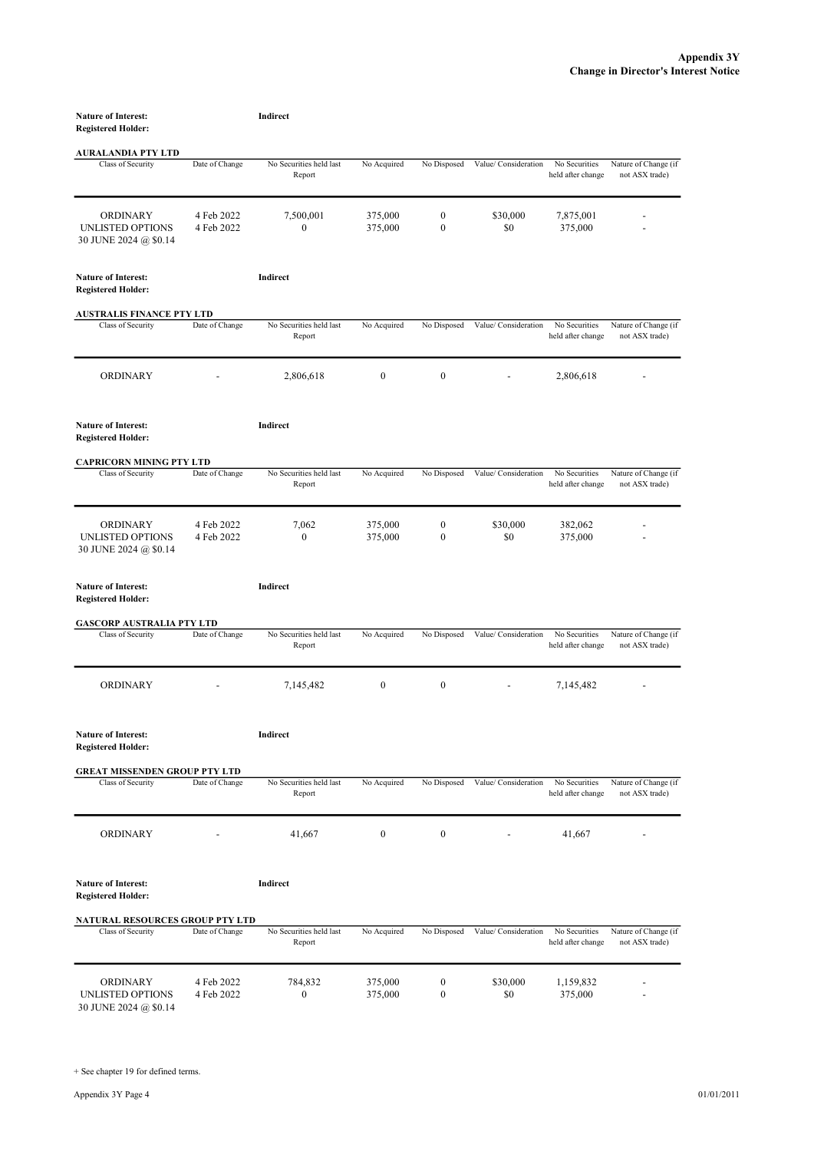| <b>Nature of Interest:</b>                                   |                          | Indirect                          |                    |                                      |                      |                                    |                                        |
|--------------------------------------------------------------|--------------------------|-----------------------------------|--------------------|--------------------------------------|----------------------|------------------------------------|----------------------------------------|
| <b>Registered Holder:</b>                                    |                          |                                   |                    |                                      |                      |                                    |                                        |
| <b>AURALANDIA PTY LTD</b>                                    |                          |                                   |                    |                                      |                      |                                    |                                        |
| Class of Security                                            | Date of Change           | No Securities held last<br>Report | No Acquired        | No Disposed                          | Value/ Consideration | No Securities<br>held after change | Nature of Change (if<br>not ASX trade) |
| <b>ORDINARY</b><br>UNLISTED OPTIONS<br>30 JUNE 2024 @ \$0.14 | 4 Feb 2022<br>4 Feb 2022 | 7,500,001<br>$\mathbf{0}$         | 375,000<br>375,000 | $\boldsymbol{0}$<br>$\mathbf{0}$     | \$30,000<br>\$0      | 7,875,001<br>375,000               |                                        |
| <b>Nature of Interest:</b><br><b>Registered Holder:</b>      |                          | Indirect                          |                    |                                      |                      |                                    |                                        |
| <b>AUSTRALIS FINANCE PTY LTD</b>                             |                          |                                   |                    |                                      |                      |                                    |                                        |
| Class of Security                                            | Date of Change           | No Securities held last<br>Report | No Acquired        | No Disposed                          | Value/ Consideration | No Securities<br>held after change | Nature of Change (if<br>not ASX trade) |
| <b>ORDINARY</b>                                              |                          | 2,806,618                         | $\mathbf{0}$       | $\boldsymbol{0}$                     |                      | 2,806,618                          |                                        |
| <b>Nature of Interest:</b><br><b>Registered Holder:</b>      |                          | Indirect                          |                    |                                      |                      |                                    |                                        |
| <b>CAPRICORN MINING PTY LTD</b>                              |                          |                                   |                    |                                      |                      |                                    |                                        |
| Class of Security                                            | Date of Change           | No Securities held last<br>Report | No Acquired        | No Disposed                          | Value/ Consideration | No Securities<br>held after change | Nature of Change (if<br>not ASX trade) |
| <b>ORDINARY</b><br>UNLISTED OPTIONS<br>30 JUNE 2024 @ \$0.14 | 4 Feb 2022<br>4 Feb 2022 | 7,062<br>$\mathbf{0}$             | 375,000<br>375,000 | $\boldsymbol{0}$<br>$\boldsymbol{0}$ | \$30,000<br>\$0      | 382,062<br>375,000                 |                                        |
| <b>Nature of Interest:</b><br><b>Registered Holder:</b>      |                          | Indirect                          |                    |                                      |                      |                                    |                                        |
| <b>GASCORP AUSTRALIA PTY LTD</b>                             |                          |                                   |                    |                                      |                      |                                    |                                        |
| Class of Security                                            | Date of Change           | No Securities held last<br>Report | No Acquired        | No Disposed                          | Value/ Consideration | No Securities<br>held after change | Nature of Change (if<br>not ASX trade) |
| ORDINARY                                                     |                          | 7,145,482                         | $\boldsymbol{0}$   | $\boldsymbol{0}$                     |                      | 7,145,482                          |                                        |
| <b>Nature of Interest:</b><br><b>Registered Holder:</b>      |                          | Indirect                          |                    |                                      |                      |                                    |                                        |
| <b>GREAT MISSENDEN GROUP PTY LTD</b>                         |                          |                                   |                    |                                      |                      |                                    |                                        |
| Class of Security                                            | Date of Change           | No Securities held last<br>Report | No Acquired        | No Disposed                          | Value/ Consideration | No Securities<br>held after change | Nature of Change (if<br>not ASX trade) |
| ORDINARY                                                     |                          | 41,667                            | $\boldsymbol{0}$   | $\boldsymbol{0}$                     |                      | 41,667                             |                                        |
| <b>Nature of Interest:</b><br><b>Registered Holder:</b>      |                          | Indirect                          |                    |                                      |                      |                                    |                                        |
| <b>NATURAL RESOURCES GROUP PTY LTD</b>                       |                          |                                   |                    |                                      |                      |                                    |                                        |
| Class of Security                                            | Date of Change           | No Securities held last<br>Report | No Acquired        | No Disposed                          | Value/ Consideration | No Securities<br>held after change | Nature of Change (if<br>not ASX trade) |
| ORDINARY<br>UNLISTED OPTIONS                                 | 4 Feb 2022<br>4 Feb 2022 | 784,832<br>$\boldsymbol{0}$       | 375,000<br>375,000 | $\boldsymbol{0}$<br>$\boldsymbol{0}$ | \$30,000<br>\$0      | 1,159,832<br>375,000               |                                        |

30 JUNE 2024 @ \$0.14

+ See chapter 19 for defined terms.